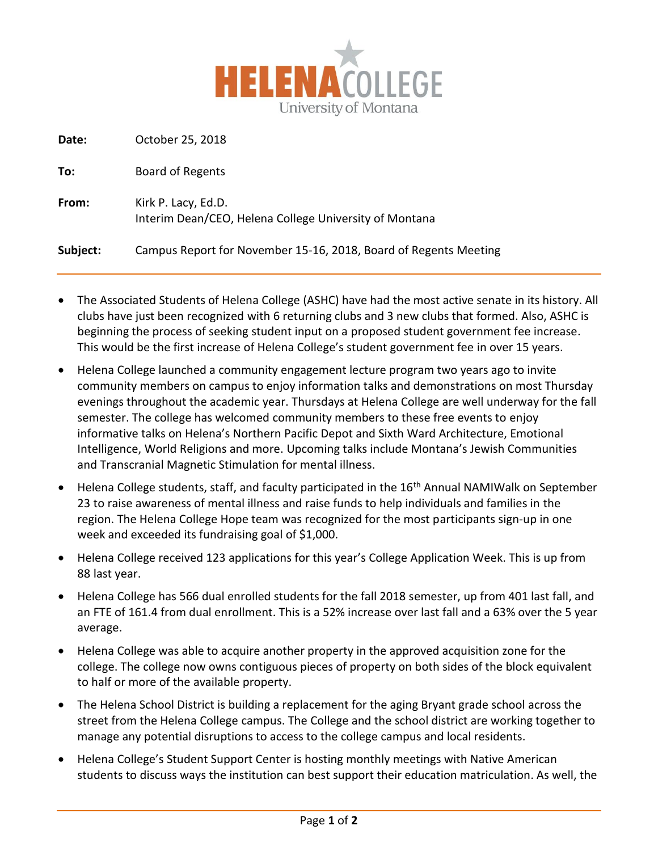

**Date:** October 25, 2018

| To:      | Board of Regents                                                              |
|----------|-------------------------------------------------------------------------------|
| From:    | Kirk P. Lacy, Ed.D.<br>Interim Dean/CEO, Helena College University of Montana |
| Subject: | Campus Report for November 15-16, 2018, Board of Regents Meeting              |

- The Associated Students of Helena College (ASHC) have had the most active senate in its history. All clubs have just been recognized with 6 returning clubs and 3 new clubs that formed. Also, ASHC is beginning the process of seeking student input on a proposed student government fee increase. This would be the first increase of Helena College's student government fee in over 15 years.
- Helena College launched a community engagement lecture program two years ago to invite community members on campus to enjoy information talks and demonstrations on most Thursday evenings throughout the academic year. Thursdays at Helena College are well underway for the fall semester. The college has welcomed community members to these free events to enjoy informative talks on Helena's Northern Pacific Depot and Sixth Ward Architecture, Emotional Intelligence, World Religions and more. Upcoming talks include Montana's Jewish Communities and Transcranial Magnetic Stimulation for mental illness.
- Helena College students, staff, and faculty participated in the 16<sup>th</sup> Annual NAMIWalk on September 23 to raise awareness of mental illness and raise funds to help individuals and families in the region. The Helena College Hope team was recognized for the most participants sign-up in one week and exceeded its fundraising goal of \$1,000.
- Helena College received 123 applications for this year's College Application Week. This is up from 88 last year.
- Helena College has 566 dual enrolled students for the fall 2018 semester, up from 401 last fall, and an FTE of 161.4 from dual enrollment. This is a 52% increase over last fall and a 63% over the 5 year average.
- Helena College was able to acquire another property in the approved acquisition zone for the college. The college now owns contiguous pieces of property on both sides of the block equivalent to half or more of the available property.
- The Helena School District is building a replacement for the aging Bryant grade school across the street from the Helena College campus. The College and the school district are working together to manage any potential disruptions to access to the college campus and local residents.
- Helena College's Student Support Center is hosting monthly meetings with Native American students to discuss ways the institution can best support their education matriculation. As well, the